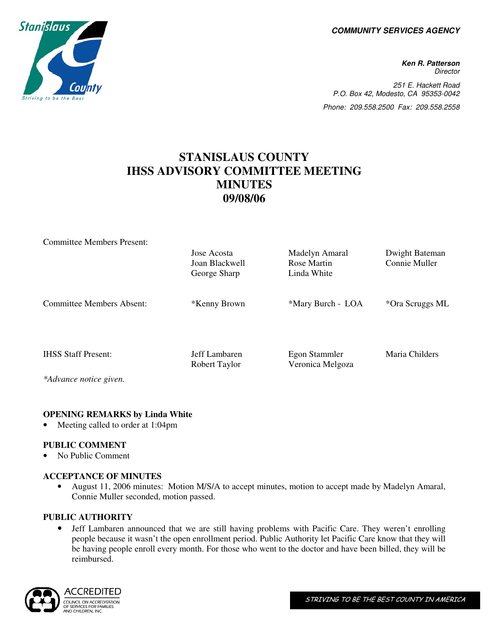**COMMUNITY SERVICES AGENCY** 

**Ken R. Patterson Director** 251 E. Hackett Road P.O. Box 42, Modesto, CA 95353-0042 Phone: 209.558.2500 Fax: 209.558.2558

## **STANISLAUS COUNTY IHSS ADVISORY COMMITTEE MEETING MINUTES 09/08/06**

| <b>Committee Members Present:</b> |                |                   |                 |
|-----------------------------------|----------------|-------------------|-----------------|
|                                   | Jose Acosta    | Madelyn Amaral    | Dwight Bateman  |
|                                   | Joan Blackwell | Rose Martin       | Connie Muller   |
|                                   | George Sharp   | Linda White       |                 |
|                                   |                |                   |                 |
| Committee Members Absent:         | *Kenny Brown   | *Mary Burch - LOA | *Ora Scruggs ML |
|                                   |                |                   |                 |
|                                   |                |                   |                 |
|                                   |                |                   |                 |
|                                   |                |                   |                 |
| <b>IHSS Staff Present:</b>        | Jeff Lambaren  | Egon Stammler     | Maria Childers  |
|                                   | Robert Taylor  | Veronica Melgoza  |                 |
| *Advance notice given.            |                |                   |                 |

#### **OPENING REMARKS by Linda White**

Meeting called to order at 1:04pm

#### **PUBLIC COMMENT**

• No Public Comment

#### **ACCEPTANCE OF MINUTES**

• August 11, 2006 minutes: Motion M/S/A to accept minutes, motion to accept made by Madelyn Amaral, Connie Muller seconded, motion passed.

#### **PUBLIC AUTHORITY**

• Jeff Lambaren announced that we are still having problems with Pacific Care. They weren't enrolling people because it wasn't the open enrollment period. Public Authority let Pacific Care know that they will be having people enroll every month. For those who went to the doctor and have been billed, they will be reimbursed.



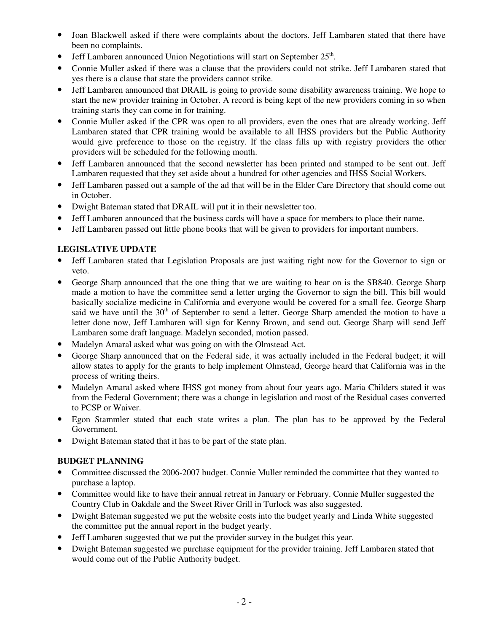- Joan Blackwell asked if there were complaints about the doctors. Jeff Lambaren stated that there have been no complaints.
- Jeff Lambaren announced Union Negotiations will start on September  $25<sup>th</sup>$ .
- Connie Muller asked if there was a clause that the providers could not strike. Jeff Lambaren stated that yes there is a clause that state the providers cannot strike.
- Jeff Lambaren announced that DRAIL is going to provide some disability awareness training. We hope to start the new provider training in October. A record is being kept of the new providers coming in so when training starts they can come in for training.
- Connie Muller asked if the CPR was open to all providers, even the ones that are already working. Jeff Lambaren stated that CPR training would be available to all IHSS providers but the Public Authority would give preference to those on the registry. If the class fills up with registry providers the other providers will be scheduled for the following month.
- Jeff Lambaren announced that the second newsletter has been printed and stamped to be sent out. Jeff Lambaren requested that they set aside about a hundred for other agencies and IHSS Social Workers.
- Jeff Lambaren passed out a sample of the ad that will be in the Elder Care Directory that should come out in October.
- Dwight Bateman stated that DRAIL will put it in their newsletter too.
- Jeff Lambaren announced that the business cards will have a space for members to place their name.
- Jeff Lambaren passed out little phone books that will be given to providers for important numbers.

#### **LEGISLATIVE UPDATE**

- Jeff Lambaren stated that Legislation Proposals are just waiting right now for the Governor to sign or veto.
- George Sharp announced that the one thing that we are waiting to hear on is the SB840. George Sharp made a motion to have the committee send a letter urging the Governor to sign the bill. This bill would basically socialize medicine in California and everyone would be covered for a small fee. George Sharp said we have until the  $30<sup>th</sup>$  of September to send a letter. George Sharp amended the motion to have a letter done now, Jeff Lambaren will sign for Kenny Brown, and send out. George Sharp will send Jeff Lambaren some draft language. Madelyn seconded, motion passed.
- Madelyn Amaral asked what was going on with the Olmstead Act.
- George Sharp announced that on the Federal side, it was actually included in the Federal budget; it will allow states to apply for the grants to help implement Olmstead, George heard that California was in the process of writing theirs.
- Madelyn Amaral asked where IHSS got money from about four years ago. Maria Childers stated it was from the Federal Government; there was a change in legislation and most of the Residual cases converted to PCSP or Waiver.
- Egon Stammler stated that each state writes a plan. The plan has to be approved by the Federal Government.
- Dwight Bateman stated that it has to be part of the state plan.

#### **BUDGET PLANNING**

- Committee discussed the 2006-2007 budget. Connie Muller reminded the committee that they wanted to purchase a laptop.
- Committee would like to have their annual retreat in January or February. Connie Muller suggested the Country Club in Oakdale and the Sweet River Grill in Turlock was also suggested.
- Dwight Bateman suggested we put the website costs into the budget yearly and Linda White suggested the committee put the annual report in the budget yearly.
- Jeff Lambaren suggested that we put the provider survey in the budget this year.
- Dwight Bateman suggested we purchase equipment for the provider training. Jeff Lambaren stated that would come out of the Public Authority budget.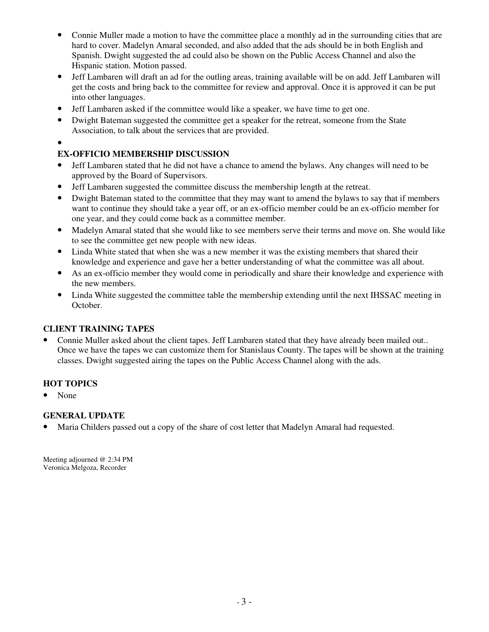- Connie Muller made a motion to have the committee place a monthly ad in the surrounding cities that are hard to cover. Madelyn Amaral seconded, and also added that the ads should be in both English and Spanish. Dwight suggested the ad could also be shown on the Public Access Channel and also the Hispanic station. Motion passed.
- Jeff Lambaren will draft an ad for the outling areas, training available will be on add. Jeff Lambaren will get the costs and bring back to the committee for review and approval. Once it is approved it can be put into other languages.
- Jeff Lambaren asked if the committee would like a speaker, we have time to get one.
- Dwight Bateman suggested the committee get a speaker for the retreat, someone from the State Association, to talk about the services that are provided.
- •

### **EX-OFFICIO MEMBERSHIP DISCUSSION**

- Jeff Lambaren stated that he did not have a chance to amend the bylaws. Any changes will need to be approved by the Board of Supervisors.
- Jeff Lambaren suggested the committee discuss the membership length at the retreat.
- Dwight Bateman stated to the committee that they may want to amend the bylaws to say that if members want to continue they should take a year off, or an ex-officio member could be an ex-officio member for one year, and they could come back as a committee member.
- Madelyn Amaral stated that she would like to see members serve their terms and move on. She would like to see the committee get new people with new ideas.
- Linda White stated that when she was a new member it was the existing members that shared their knowledge and experience and gave her a better understanding of what the committee was all about.
- As an ex-officio member they would come in periodically and share their knowledge and experience with the new members.
- Linda White suggested the committee table the membership extending until the next IHSSAC meeting in October.

#### **CLIENT TRAINING TAPES**

• Connie Muller asked about the client tapes. Jeff Lambaren stated that they have already been mailed out.. Once we have the tapes we can customize them for Stanislaus County. The tapes will be shown at the training classes. Dwight suggested airing the tapes on the Public Access Channel along with the ads.

#### **HOT TOPICS**

• None

#### **GENERAL UPDATE**

• Maria Childers passed out a copy of the share of cost letter that Madelyn Amaral had requested.

Meeting adjourned @ 2:34 PM Veronica Melgoza, Recorder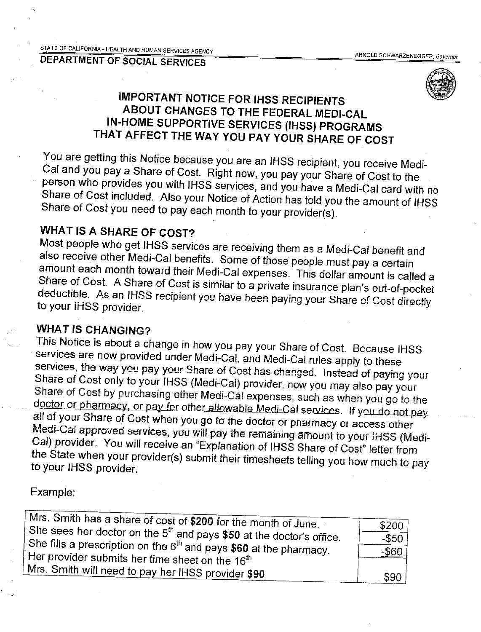

## **IMPORTANT NOTICE FOR IHSS RECIPIENTS** ABOUT CHANGES TO THE FEDERAL MEDI-CAL IN-HOME SUPPORTIVE SERVICES (IHSS) PROGRAMS THAT AFFECT THE WAY YOU PAY YOUR SHARE OF COST

You are getting this Notice because you are an IHSS recipient, you receive Medi-Cal and you pay a Share of Cost. Right now, you pay your Share of Cost to the person who provides you with IHSS services, and you have a Medi-Cal card with no Share of Cost included. Also your Notice of Action has told you the amount of IHSS Share of Cost you need to pay each month to your provider(s).

## **WHAT IS A SHARE OF COST?**

Most people who get IHSS services are receiving them as a Medi-Cal benefit and also receive other Medi-Cal benefits. Some of those people must pay a certain amount each month toward their Medi-Cal expenses. This dollar amount is called a Share of Cost. A Share of Cost is similar to a private insurance plan's out-of-pocket deductible. As an IHSS recipient you have been paying your Share of Cost directly to your IHSS provider.

## **WHAT IS CHANGING?**

This Notice is about a change in how you pay your Share of Cost. Because IHSS services are now provided under Medi-Cal, and Medi-Cal rules apply to these services, the way you pay your Share of Cost has changed. Instead of paying your Share of Cost only to your IHSS (Medi-Cal) provider, now you may also pay your Share of Cost by purchasing other Medi-Cal expenses, such as when you go to the doctor or pharmacy, or pay for other allowable Medi-Cal services. If you do not pay all of your Share of Cost when you go to the doctor or pharmacy or access other Medi-Cal approved services, you will pay the remaining amount to your IHSS (Medi-Cal) provider. You will receive an "Explanation of IHSS Share of Cost" letter from the State when your provider(s) submit their timesheets telling you how much to pay to your IHSS provider.

### Example:

| Mrs. Smith has a share of cost of \$200 for the month of June.         | \$200    |
|------------------------------------------------------------------------|----------|
| She sees her doctor on the $5th$ and pays \$50 at the doctor's office. | $-$ \$50 |
| She fills a prescription on the $6th$ and pays \$60 at the pharmacy.   |          |
|                                                                        | $-$ \$60 |
| Her provider submits her time sheet on the 16 <sup>th</sup>            |          |
| Mrs. Smith will need to pay her IHSS provider \$90                     | \$90     |
|                                                                        |          |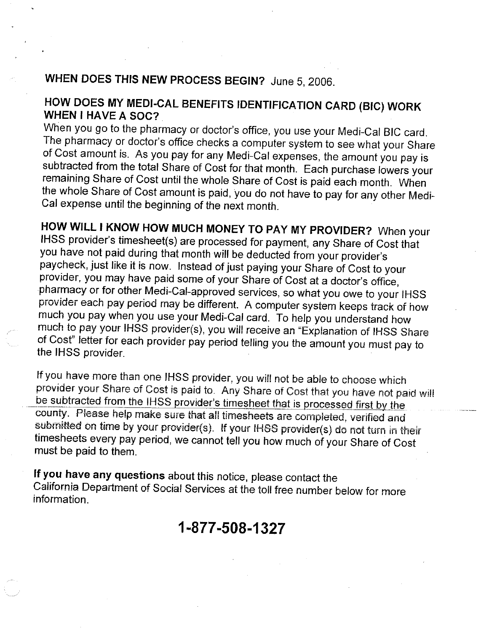# WHEN DOES THIS NEW PROCESS BEGIN? June 5, 2006.

## HOW DOES MY MEDI-CAL BENEFITS IDENTIFICATION CARD (BIC) WORK **WHEN I HAVE A SOC?**

When you go to the pharmacy or doctor's office, you use your Medi-Cal BIC card. The pharmacy or doctor's office checks a computer system to see what your Share of Cost amount is. As you pay for any Medi-Cal expenses, the amount you pay is subtracted from the total Share of Cost for that month. Each purchase lowers your remaining Share of Cost until the whole Share of Cost is paid each month. When the whole Share of Cost amount is paid, you do not have to pay for any other Medi-Cal expense until the beginning of the next month.

HOW WILL I KNOW HOW MUCH MONEY TO PAY MY PROVIDER? When your IHSS provider's timesheet(s) are processed for payment, any Share of Cost that you have not paid during that month will be deducted from your provider's paycheck, just like it is now. Instead of just paying your Share of Cost to your provider, you may have paid some of your Share of Cost at a doctor's office, pharmacy or for other Medi-Cal-approved services, so what you owe to your IHSS provider each pay period may be different. A computer system keeps track of how much you pay when you use your Medi-Cal card. To help you understand how much to pay your IHSS provider(s), you will receive an "Explanation of IHSS Share of Cost" letter for each provider pay period telling you the amount you must pay to the IHSS provider.

If you have more than one IHSS provider, you will not be able to choose which provider your Share of Cost is paid to. Any Share of Cost that you have not paid will be subtracted from the IHSS provider's timesheet that is processed first by the county. Please help make sure that all timesheets are completed, verified and submitted on time by your provider(s). If your IHSS provider(s) do not turn in their timesheets every pay period, we cannot tell you how much of your Share of Cost must be paid to them.

If you have any questions about this notice, please contact the California Department of Social Services at the toll free number below for more information.

# 1-877-508-1327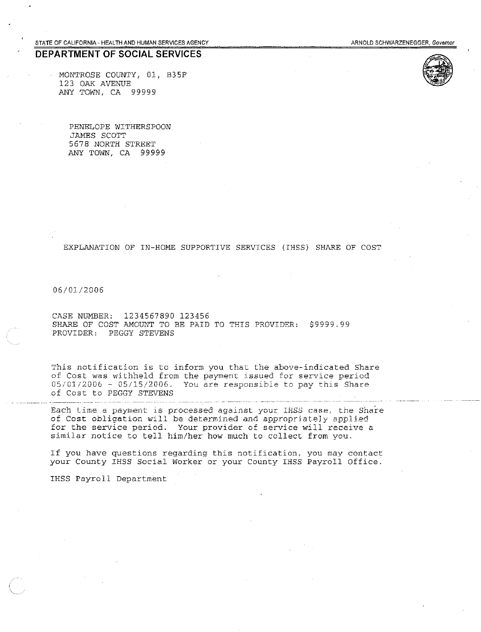STATE OF CALIFORNIA - HEALTH AND HUMAN SERVICES AGENCY

#### DEPARTMENT OF SOCIAL SERVICES

MONTROSE COUNTY, 01, B35F 123 OAK AVENUE ANY TOWN, CA 99999

PENELOPE WITHERSPOON JAMES SCOTT 5678 NORTH STREET ANY TOWN, CA 99999

EXPLANATION OF IN-HOME SUPPORTIVE SERVICES (IHSS) SHARE OF COST

06/01/2006

CASE NUMBER: 1234567890 123456 SHARE OF COST AMOUNT TO BE PAID TO THIS PROVIDER: \$9999.99 PROVIDER: PEGGY STEVENS

This notification is to inform you that the above-indicated Share of Cost was withheld from the payment issued for service period 05/01/2006 - 05/15/2006. You are responsible to pay this Share of Cost to PEGGY STEVENS

Each time a payment is processed against your IHSS case, the Share of Cost obligation will be determined and appropriately applied for the service period. Your provider of service will receive a similar notice to tell him/her how much to collect from you.

If you have questions regarding this notification, you may contact your County IHSS Social Worker or your County IHSS Payroll Office.

IHSS Payroll Department